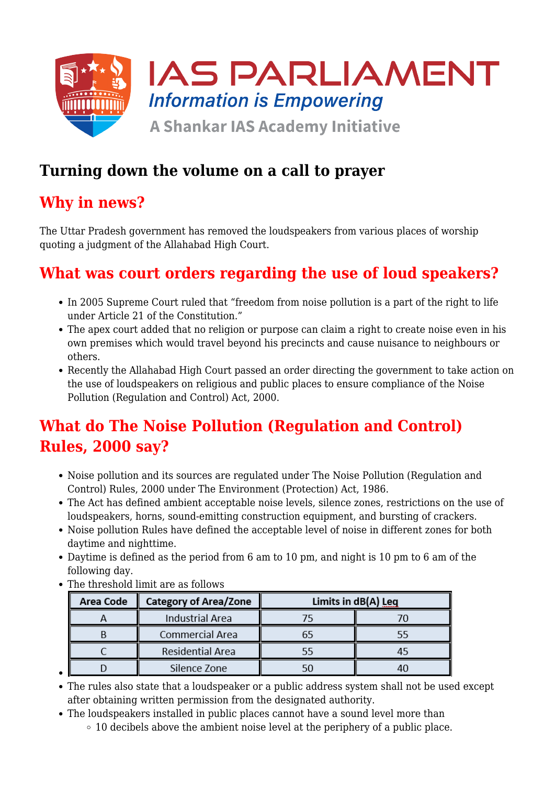

### **Turning down the volume on a call to prayer**

### **Why in news?**

The Uttar Pradesh government has removed the loudspeakers from various places of worship quoting a judgment of the Allahabad High Court.

## **What was court orders regarding the use of loud speakers?**

- In 2005 Supreme Court ruled that "freedom from noise pollution is a part of the right to life under Article 21 of the Constitution."
- The apex court added that no religion or purpose can claim a right to create noise even in his own premises which would travel beyond his precincts and cause nuisance to neighbours or others.
- Recently the Allahabad High Court passed an order directing the government to take action on the use of loudspeakers on religious and public places to ensure compliance of the Noise Pollution (Regulation and Control) Act, 2000.

# **What do The Noise Pollution (Regulation and Control) Rules, 2000 say?**

- Noise pollution and its sources are regulated under The Noise Pollution (Regulation and Control) Rules, 2000 under The Environment (Protection) Act, 1986.
- The Act has defined ambient acceptable noise levels, silence zones, restrictions on the use of loudspeakers, horns, sound-emitting construction equipment, and bursting of crackers.
- Noise pollution Rules have defined the acceptable level of noise in different zones for both daytime and nighttime.
- Daytime is defined as the period from 6 am to 10 pm, and night is 10 pm to 6 am of the following day.
- The threshold limit are as follows

| <b>Area Code</b> | <b>Category of Area/Zone</b> | Limits in dB(A) Leq |  |
|------------------|------------------------------|---------------------|--|
|                  | <b>Industrial Area</b>       |                     |  |
|                  | Commercial Area              |                     |  |
|                  | <b>Residential Area</b>      |                     |  |
|                  | Silence Zone                 |                     |  |

- The rules also state that a loudspeaker or a public address system shall not be used except after obtaining written permission from the designated authority.
- The loudspeakers installed in public places cannot have a sound level more than
	- $\circ$  10 decibels above the ambient noise level at the periphery of a public place.